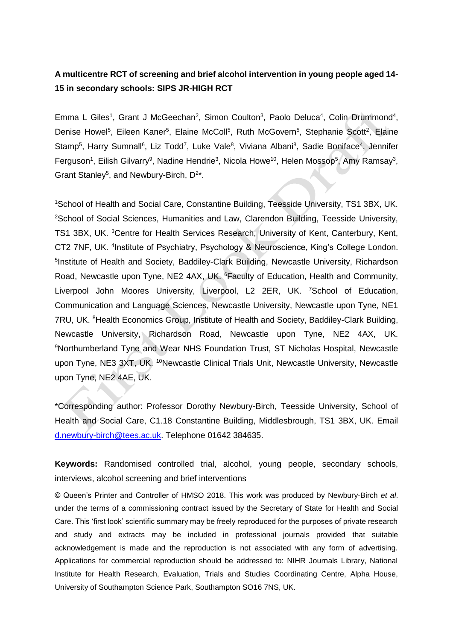## **A multicentre RCT of screening and brief alcohol intervention in young people aged 14- 15 in secondary schools: SIPS JR-HIGH RCT**

Emma L Giles<sup>1</sup>, Grant J McGeechan<sup>2</sup>, Simon Coulton<sup>3</sup>, Paolo Deluca<sup>4</sup>, Colin Drummond<sup>4</sup>, Denise Howel<sup>5</sup>, Eileen Kaner<sup>5</sup>, Elaine McColl<sup>5</sup>, Ruth McGovern<sup>5</sup>, Stephanie Scott<sup>2</sup>, Elaine Stamp<sup>5</sup>, Harry Sumnall<sup>6</sup>, Liz Todd<sup>7</sup>, Luke Vale<sup>8</sup>, Viviana Albani<sup>8</sup>, Sadie Boniface<sup>4</sup>, Jennifer Ferguson<sup>1</sup>, Eilish Gilvarry<sup>9</sup>, Nadine Hendrie<sup>3</sup>, Nicola Howe<sup>10</sup>, Helen Mossop<sup>5</sup>, Amy Ramsay<sup>3</sup>, Grant Stanley<sup>5</sup>, and Newbury-Birch, D<sup>2\*</sup>.

<sup>1</sup>School of Health and Social Care, Constantine Building, Teesside University, TS1 3BX, UK. <sup>2</sup>School of Social Sciences, Humanities and Law, Clarendon Building, Teesside University, TS1 3BX, UK. <sup>3</sup>Centre for Health Services Research, University of Kent, Canterbury, Kent, CT2 7NF, UK. <sup>4</sup> Institute of Psychiatry, Psychology & Neuroscience, King's College London. <sup>5</sup>Institute of Health and Society, Baddiley-Clark Building, Newcastle University, Richardson Road, Newcastle upon Tyne, NE2 4AX, UK. <sup>6</sup>Faculty of Education, Health and Community, Liverpool John Moores University, Liverpool, L2 2ER, UK. <sup>7</sup>School of Education, Communication and Language Sciences, Newcastle University, Newcastle upon Tyne, NE1 7RU, UK. <sup>8</sup>Health Economics Group, Institute of Health and Society, Baddiley-Clark Building, Newcastle University, Richardson Road, Newcastle upon Tyne, NE2 4AX, UK. <sup>9</sup>Northumberland Tyne and Wear NHS Foundation Trust, ST Nicholas Hospital, Newcastle upon Tyne, NE3 3XT, UK.<sup>10</sup>Newcastle Clinical Trials Unit, Newcastle University, Newcastle upon Tyne, NE2 4AE, UK.

\*Corresponding author: Professor Dorothy Newbury-Birch, Teesside University, School of Health and Social Care, C1.18 Constantine Building, Middlesbrough, TS1 3BX, UK. Email [d.newbury-birch@tees.ac.uk.](mailto:d.newbury-birch@tees.ac.uk) Telephone 01642 384635.

**Keywords:** Randomised controlled trial, alcohol, young people, secondary schools, interviews, alcohol screening and brief interventions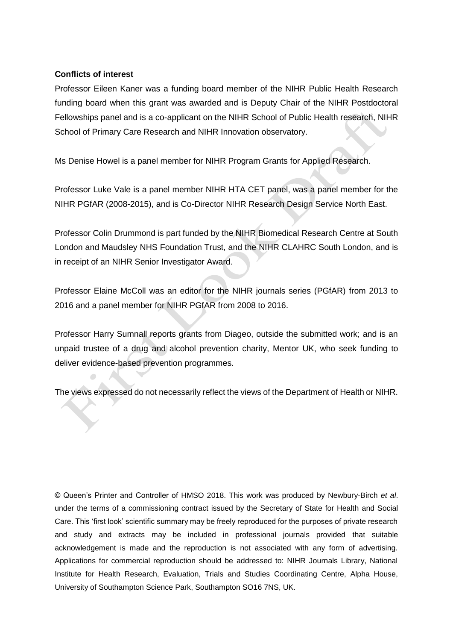### **Conflicts of interest**

Professor Eileen Kaner was a funding board member of the NIHR Public Health Research funding board when this grant was awarded and is Deputy Chair of the NIHR Postdoctoral Fellowships panel and is a co-applicant on the NIHR School of Public Health research, NIHR School of Primary Care Research and NIHR Innovation observatory.

Ms Denise Howel is a panel member for NIHR Program Grants for Applied Research.

Professor Luke Vale is a panel member NIHR HTA CET panel, was a panel member for the NIHR PGfAR (2008-2015), and is Co-Director NIHR Research Design Service North East.

Professor Colin Drummond is part funded by the NIHR Biomedical Research Centre at South London and Maudsley NHS Foundation Trust, and the NIHR CLAHRC South London, and is in receipt of an NIHR Senior Investigator Award.

Professor Elaine McColl was an editor for the NIHR journals series (PGfAR) from 2013 to 2016 and a panel member for NIHR PGfAR from 2008 to 2016.

Professor Harry Sumnall reports grants from Diageo, outside the submitted work; and is an unpaid trustee of a drug and alcohol prevention charity, Mentor UK, who seek funding to deliver evidence-based prevention programmes.

The views expressed do not necessarily reflect the views of the Department of Health or NIHR.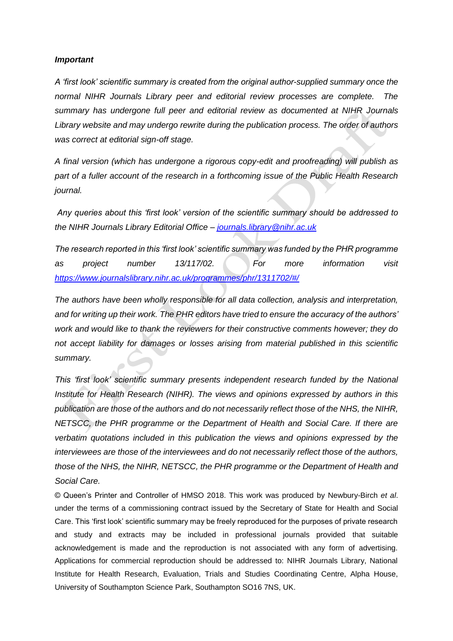#### *Important*

*A 'first look' scientific summary is created from the original author-supplied summary once the normal NIHR Journals Library peer and editorial review processes are complete. The summary has undergone full peer and editorial review as documented at NIHR Journals Library website and may undergo rewrite during the publication process. The order of authors was correct at editorial sign-off stage.* 

*A final version (which has undergone a rigorous copy-edit and proofreading) will publish as part of a fuller account of the research in a forthcoming issue of the Public Health Research journal.*

*Any queries about this 'first look' version of the scientific summary should be addressed to the NIHR Journals Library Editorial Office – [journals.library@nihr.ac.uk](mailto:journals.library@nihr.ac.uk)*

*The research reported in this 'first look' scientific summary was funded by the PHR programme as project number 13/117/02. For more information visit <https://www.journalslibrary.nihr.ac.uk/programmes/phr/1311702/#/>*

*The authors have been wholly responsible for all data collection, analysis and interpretation, and for writing up their work. The PHR editors have tried to ensure the accuracy of the authors' work and would like to thank the reviewers for their constructive comments however; they do not accept liability for damages or losses arising from material published in this scientific summary.*

*This 'first look' scientific summary presents independent research funded by the National Institute for Health Research (NIHR). The views and opinions expressed by authors in this publication are those of the authors and do not necessarily reflect those of the NHS, the NIHR, NETSCC, the PHR programme or the Department of Health and Social Care. If there are verbatim quotations included in this publication the views and opinions expressed by the interviewees are those of the interviewees and do not necessarily reflect those of the authors, those of the NHS, the NIHR, NETSCC, the PHR programme or the Department of Health and Social Care.*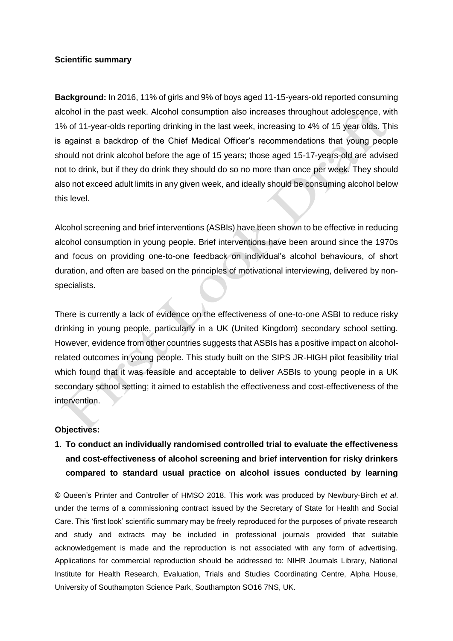#### **Scientific summary**

**Background:** In 2016, 11% of girls and 9% of boys aged 11-15-years-old reported consuming alcohol in the past week. Alcohol consumption also increases throughout adolescence, with 1% of 11-year-olds reporting drinking in the last week, increasing to 4% of 15 year olds. This is against a backdrop of the Chief Medical Officer's recommendations that young people should not drink alcohol before the age of 15 years; those aged 15-17-years-old are advised not to drink, but if they do drink they should do so no more than once per week. They should also not exceed adult limits in any given week, and ideally should be consuming alcohol below this level.

Alcohol screening and brief interventions (ASBIs) have been shown to be effective in reducing alcohol consumption in young people. Brief interventions have been around since the 1970s and focus on providing one-to-one feedback on individual's alcohol behaviours, of short duration, and often are based on the principles of motivational interviewing, delivered by nonspecialists.

There is currently a lack of evidence on the effectiveness of one-to-one ASBI to reduce risky drinking in young people, particularly in a UK (United Kingdom) secondary school setting. However, evidence from other countries suggests that ASBIs has a positive impact on alcoholrelated outcomes in young people. This study built on the SIPS JR-HIGH pilot feasibility trial which found that it was feasible and acceptable to deliver ASBIs to young people in a UK secondary school setting; it aimed to establish the effectiveness and cost-effectiveness of the intervention.

### **Objectives:**

# **1. To conduct an individually randomised controlled trial to evaluate the effectiveness and cost-effectiveness of alcohol screening and brief intervention for risky drinkers compared to standard usual practice on alcohol issues conducted by learning**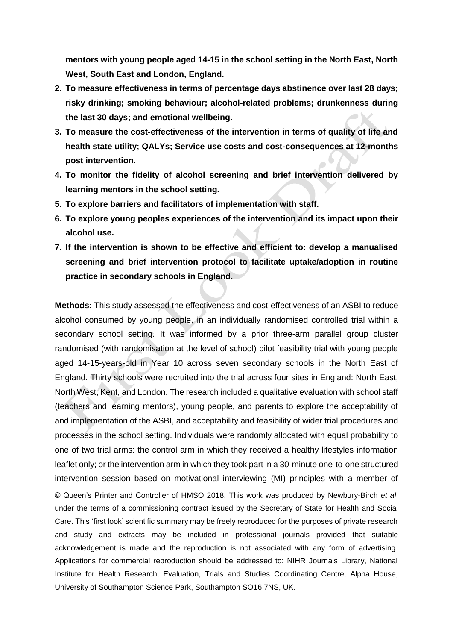**mentors with young people aged 14-15 in the school setting in the North East, North West, South East and London, England.**

- **2. To measure effectiveness in terms of percentage days abstinence over last 28 days; risky drinking; smoking behaviour; alcohol-related problems; drunkenness during the last 30 days; and emotional wellbeing.**
- **3. To measure the cost-effectiveness of the intervention in terms of quality of life and health state utility; QALYs; Service use costs and cost-consequences at 12-months post intervention.**
- **4. To monitor the fidelity of alcohol screening and brief intervention delivered by learning mentors in the school setting.**
- **5. To explore barriers and facilitators of implementation with staff.**
- **6. To explore young peoples experiences of the intervention and its impact upon their alcohol use.**
- **7. If the intervention is shown to be effective and efficient to: develop a manualised screening and brief intervention protocol to facilitate uptake/adoption in routine practice in secondary schools in England.**

© Queen's Printer and Controller of HMSO 2018. This work was produced by Newbury-Birch *et al*. under the terms of a commissioning contract issued by the Secretary of State for Health and Social Care. This 'first look' scientific summary may be freely reproduced for the purposes of private research and study and extracts may be included in professional journals provided that suitable acknowledgement is made and the reproduction is not associated with any form of advertising. Applications for commercial reproduction should be addressed to: NIHR Journals Library, National Institute for Health Research, Evaluation, Trials and Studies Coordinating Centre, Alpha House, University of Southampton Science Park, Southampton SO16 7NS, UK. **Methods:** This study assessed the effectiveness and cost-effectiveness of an ASBI to reduce alcohol consumed by young people, in an individually randomised controlled trial within a secondary school setting. It was informed by a prior three-arm parallel group cluster randomised (with randomisation at the level of school) pilot feasibility trial with young people aged 14-15-years-old in Year 10 across seven secondary schools in the North East of England. Thirty schools were recruited into the trial across four sites in England: North East, North West, Kent, and London. The research included a qualitative evaluation with school staff (teachers and learning mentors), young people, and parents to explore the acceptability of and implementation of the ASBI, and acceptability and feasibility of wider trial procedures and processes in the school setting. Individuals were randomly allocated with equal probability to one of two trial arms: the control arm in which they received a healthy lifestyles information leaflet only; or the intervention arm in which they took part in a 30-minute one-to-one structured intervention session based on motivational interviewing (MI) principles with a member of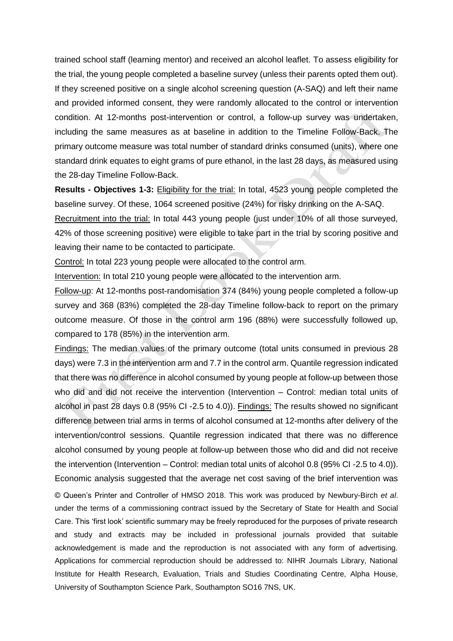trained school staff (learning mentor) and received an alcohol leaflet. To assess eligibility for the trial, the young people completed a baseline survey (unless their parents opted them out). If they screened positive on a single alcohol screening question (A-SAQ) and left their name and provided informed consent, they were randomly allocated to the control or intervention condition. At 12-months post-intervention or control, a follow-up survey was undertaken, including the same measures as at baseline in addition to the Timeline Follow-Back. The primary outcome measure was total number of standard drinks consumed (units), where one standard drink equates to eight grams of pure ethanol, in the last 28 days, as measured using the 28-day Timeline Follow-Back.

**Results - Objectives 1-3:** Eligibility for the trial: In total, 4523 young people completed the baseline survey. Of these, 1064 screened positive (24%) for risky drinking on the A-SAQ.

Recruitment into the trial: In total 443 young people (just under 10% of all those surveyed, 42% of those screening positive) were eligible to take part in the trial by scoring positive and leaving their name to be contacted to participate.

Control: In total 223 young people were allocated to the control arm.

Intervention: In total 210 young people were allocated to the intervention arm.

Follow-up: At 12-months post-randomisation 374 (84%) young people completed a follow-up survey and 368 (83%) completed the 28-day Timeline follow-back to report on the primary outcome measure. Of those in the control arm 196 (88%) were successfully followed up, compared to 178 (85%) in the intervention arm.

© Queen's Printer and Controller of HMSO 2018. This work was produced by Newbury-Birch *et al*. under the terms of a commissioning contract issued by the Secretary of State for Health and Social Care. This 'first look' scientific summary may be freely reproduced for the purposes of private research and study and extracts may be included in professional journals provided that suitable acknowledgement is made and the reproduction is not associated with any form of advertising. Applications for commercial reproduction should be addressed to: NIHR Journals Library, National Institute for Health Research, Evaluation, Trials and Studies Coordinating Centre, Alpha House, University of Southampton Science Park, Southampton SO16 7NS, UK. Findings: The median values of the primary outcome (total units consumed in previous 28 days) were 7.3 in the intervention arm and 7.7 in the control arm. Quantile regression indicated that there was no difference in alcohol consumed by young people at follow-up between those who did and did not receive the intervention (Intervention – Control: median total units of alcohol in past 28 days 0.8 (95% CI -2.5 to 4.0)). Findings: The results showed no significant difference between trial arms in terms of alcohol consumed at 12-months after delivery of the intervention/control sessions. Quantile regression indicated that there was no difference alcohol consumed by young people at follow-up between those who did and did not receive the intervention (Intervention – Control: median total units of alcohol 0.8 (95% CI -2.5 to 4.0)). Economic analysis suggested that the average net cost saving of the brief intervention was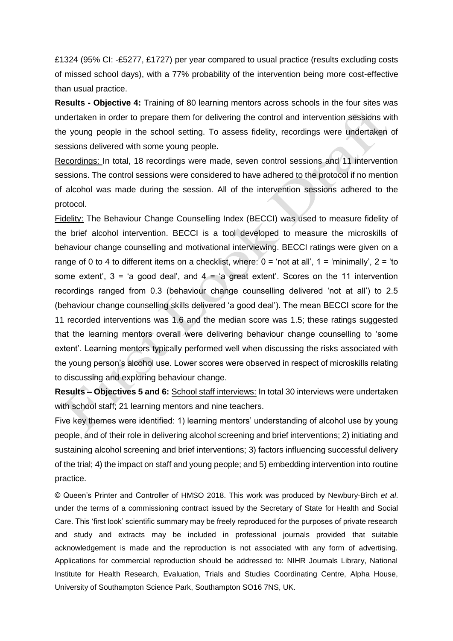£1324 (95% CI: -£5277, £1727) per year compared to usual practice (results excluding costs of missed school days), with a 77% probability of the intervention being more cost-effective than usual practice.

**Results - Objective 4:** Training of 80 learning mentors across schools in the four sites was undertaken in order to prepare them for delivering the control and intervention sessions with the young people in the school setting. To assess fidelity, recordings were undertaken of sessions delivered with some young people.

Recordings: In total, 18 recordings were made, seven control sessions and 11 intervention sessions. The control sessions were considered to have adhered to the protocol if no mention of alcohol was made during the session. All of the intervention sessions adhered to the protocol.

Fidelity: The Behaviour Change Counselling Index (BECCI) was used to measure fidelity of the brief alcohol intervention. BECCI is a tool developed to measure the microskills of behaviour change counselling and motivational interviewing. BECCI ratings were given on a range of 0 to 4 to different items on a checklist, where:  $0 = 'not at all', 1 = 'minimally', 2 = 'to$ some extent',  $3 = 'a$  good deal', and  $4 = 'a$  great extent'. Scores on the 11 intervention recordings ranged from 0.3 (behaviour change counselling delivered 'not at all') to 2.5 (behaviour change counselling skills delivered 'a good deal'). The mean BECCI score for the 11 recorded interventions was 1.6 and the median score was 1.5; these ratings suggested that the learning mentors overall were delivering behaviour change counselling to 'some extent'. Learning mentors typically performed well when discussing the risks associated with the young person's alcohol use. Lower scores were observed in respect of microskills relating to discussing and exploring behaviour change.

**Results – Objectives 5 and 6:** School staff interviews: In total 30 interviews were undertaken with school staff; 21 learning mentors and nine teachers.

Five key themes were identified: 1) learning mentors' understanding of alcohol use by young people, and of their role in delivering alcohol screening and brief interventions; 2) initiating and sustaining alcohol screening and brief interventions; 3) factors influencing successful delivery of the trial; 4) the impact on staff and young people; and 5) embedding intervention into routine practice.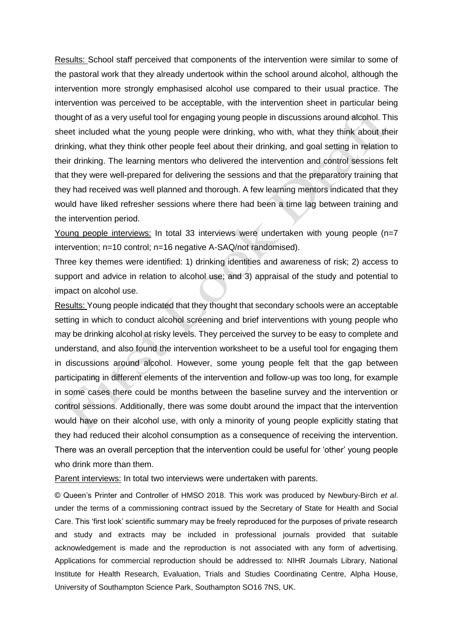Results: School staff perceived that components of the intervention were similar to some of the pastoral work that they already undertook within the school around alcohol, although the intervention more strongly emphasised alcohol use compared to their usual practice. The intervention was perceived to be acceptable, with the intervention sheet in particular being thought of as a very useful tool for engaging young people in discussions around alcohol. This sheet included what the young people were drinking, who with, what they think about their drinking, what they think other people feel about their drinking, and goal setting in relation to their drinking. The learning mentors who delivered the intervention and control sessions felt that they were well-prepared for delivering the sessions and that the preparatory training that they had received was well planned and thorough. A few learning mentors indicated that they would have liked refresher sessions where there had been a time lag between training and the intervention period.

Young people interviews: In total 33 interviews were undertaken with young people (n=7 intervention; n=10 control; n=16 negative A-SAQ/not randomised).

Three key themes were identified: 1) drinking identities and awareness of risk; 2) access to support and advice in relation to alcohol use; and 3) appraisal of the study and potential to impact on alcohol use.

Results: Young people indicated that they thought that secondary schools were an acceptable setting in which to conduct alcohol screening and brief interventions with young people who may be drinking alcohol at risky levels. They perceived the survey to be easy to complete and understand, and also found the intervention worksheet to be a useful tool for engaging them in discussions around alcohol. However, some young people felt that the gap between participating in different elements of the intervention and follow-up was too long, for example in some cases there could be months between the baseline survey and the intervention or control sessions. Additionally, there was some doubt around the impact that the intervention would have on their alcohol use, with only a minority of young people explicitly stating that they had reduced their alcohol consumption as a consequence of receiving the intervention. There was an overall perception that the intervention could be useful for 'other' young people who drink more than them.

Parent interviews: In total two interviews were undertaken with parents.